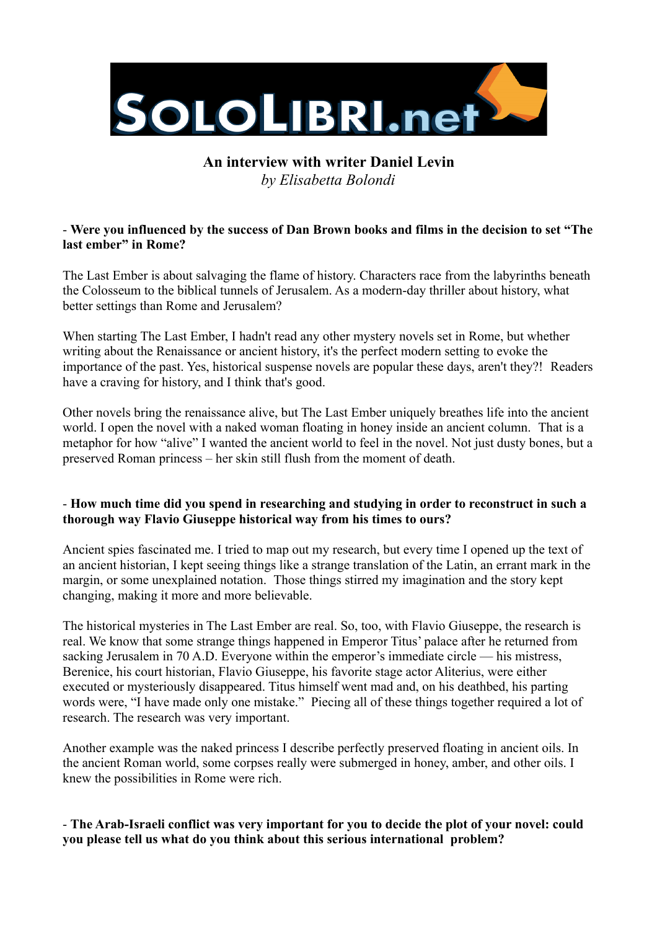

# **An interview with writer Daniel Levin** *by Elisabetta Bolondi*

## - **Were you influenced by the success of Dan Brown books and films in the decision to set "The last ember" in Rome?**

The Last Ember is about salvaging the flame of history. Characters race from the labyrinths beneath the Colosseum to the biblical tunnels of Jerusalem. As a modern-day thriller about history, what better settings than Rome and Jerusalem?

When starting The Last Ember, I hadn't read any other mystery novels set in Rome, but whether writing about the Renaissance or ancient history, it's the perfect modern setting to evoke the importance of the past. Yes, historical suspense novels are popular these days, aren't they?! Readers have a craving for history, and I think that's good.

Other novels bring the renaissance alive, but The Last Ember uniquely breathes life into the ancient world. I open the novel with a naked woman floating in honey inside an ancient column. That is a metaphor for how "alive" I wanted the ancient world to feel in the novel. Not just dusty bones, but a preserved Roman princess – her skin still flush from the moment of death.

#### - **How much time did you spend in researching and studying in order to reconstruct in such a thorough way Flavio Giuseppe historical way from his times to ours?**

Ancient spies fascinated me. I tried to map out my research, but every time I opened up the text of an ancient historian, I kept seeing things like a strange translation of the Latin, an errant mark in the margin, or some unexplained notation. Those things stirred my imagination and the story kept changing, making it more and more believable.

The historical mysteries in The Last Ember are real. So, too, with Flavio Giuseppe, the research is real. We know that some strange things happened in Emperor Titus' palace after he returned from sacking Jerusalem in 70 A.D. Everyone within the emperor's immediate circle — his mistress, Berenice, his court historian, Flavio Giuseppe, his favorite stage actor Aliterius, were either executed or mysteriously disappeared. Titus himself went mad and, on his deathbed, his parting words were, "I have made only one mistake." Piecing all of these things together required a lot of research. The research was very important.

Another example was the naked princess I describe perfectly preserved floating in ancient oils. In the ancient Roman world, some corpses really were submerged in honey, amber, and other oils. I knew the possibilities in Rome were rich.

## - **The Arab-Israeli conflict was very important for you to decide the plot of your novel: could you please tell us what do you think about this serious international problem?**